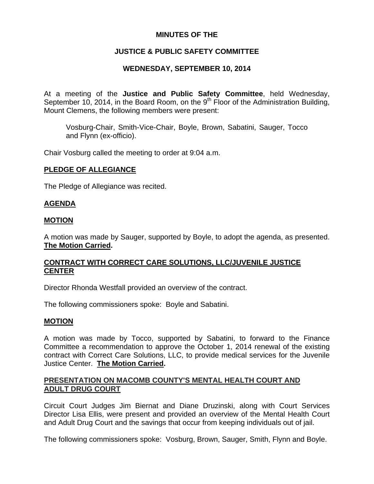## **MINUTES OF THE**

## **JUSTICE & PUBLIC SAFETY COMMITTEE**

## **WEDNESDAY, SEPTEMBER 10, 2014**

At a meeting of the **Justice and Public Safety Committee**, held Wednesday, September 10, 2014, in the Board Room, on the  $9<sup>th</sup>$  Floor of the Administration Building, Mount Clemens, the following members were present:

Vosburg-Chair, Smith-Vice-Chair, Boyle, Brown, Sabatini, Sauger, Tocco and Flynn (ex-officio).

Chair Vosburg called the meeting to order at 9:04 a.m.

#### **PLEDGE OF ALLEGIANCE**

The Pledge of Allegiance was recited.

#### **AGENDA**

#### **MOTION**

A motion was made by Sauger, supported by Boyle, to adopt the agenda, as presented. **The Motion Carried.** 

### **CONTRACT WITH CORRECT CARE SOLUTIONS, LLC/JUVENILE JUSTICE CENTER**

Director Rhonda Westfall provided an overview of the contract.

The following commissioners spoke: Boyle and Sabatini.

### **MOTION**

A motion was made by Tocco, supported by Sabatini, to forward to the Finance Committee a recommendation to approve the October 1, 2014 renewal of the existing contract with Correct Care Solutions, LLC, to provide medical services for the Juvenile Justice Center. **The Motion Carried.** 

### **PRESENTATION ON MACOMB COUNTY'S MENTAL HEALTH COURT AND ADULT DRUG COURT**

Circuit Court Judges Jim Biernat and Diane Druzinski, along with Court Services Director Lisa Ellis, were present and provided an overview of the Mental Health Court and Adult Drug Court and the savings that occur from keeping individuals out of jail.

The following commissioners spoke: Vosburg, Brown, Sauger, Smith, Flynn and Boyle.